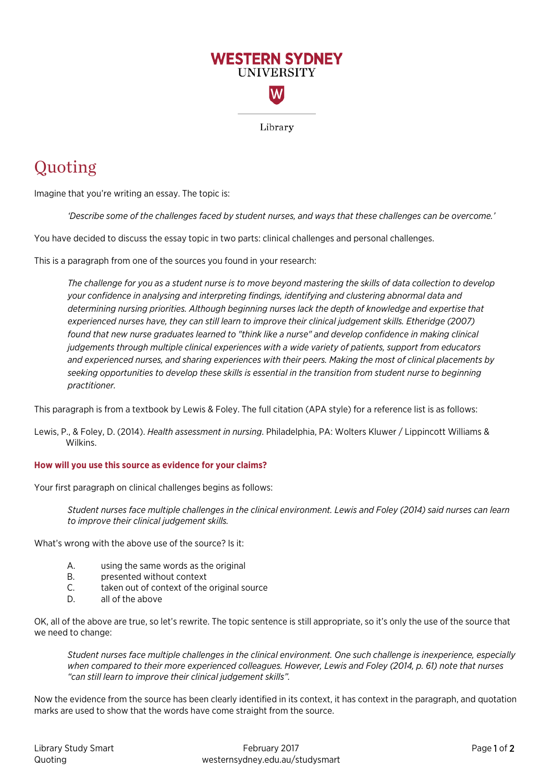

## Quoting

Imagine that you're writing an essay. The topic is:

*'Describe some of the challenges faced by student nurses, and ways that these challenges can be overcome.'* 

You have decided to discuss the essay topic in two parts: clinical challenges and personal challenges.

This is a paragraph from one of the sources you found in your research:

*The challenge for you as a student nurse is to move beyond mastering the skills of data collection to develop your confidence in analysing and interpreting findings, identifying and clustering abnormal data and determining nursing priorities. Although beginning nurses lack the depth of knowledge and expertise that experienced nurses have, they can still learn to improve their clinical judgement skills. Etheridge (2007) found that new nurse graduates learned to "think like a nurse" and develop confidence in making clinical judgements through multiple clinical experiences with a wide variety of patients, support from educators and experienced nurses, and sharing experiences with their peers. Making the most of clinical placements by seeking opportunities to develop these skills is essential in the transition from student nurse to beginning practitioner.*

This paragraph is from a textbook by Lewis & Foley. The full citation (APA style) for a reference list is as follows:

Lewis, P., & Foley, D. (2014). *Health assessment in nursing*. Philadelphia, PA: Wolters Kluwer / Lippincott Williams & Wilkins.

## **How will you use this source as evidence for your claims?**

Your first paragraph on clinical challenges begins as follows:

*Student nurses face multiple challenges in the clinical environment. Lewis and Foley (2014) said nurses can learn to improve their clinical judgement skills.*

What's wrong with the above use of the source? Is it:

- A. using the same words as the original
- B. presented without context
- C. taken out of context of the original source
- D. all of the above

OK, all of the above are true, so let's rewrite. The topic sentence is still appropriate, so it's only the use of the source that we need to change:

*Student nurses face multiple challenges in the clinical environment. One such challenge is inexperience, especially when compared to their more experienced colleagues. However, Lewis and Foley (2014, p. 61) note that nurses "can still learn to improve their clinical judgement skills".*

Now the evidence from the source has been clearly identified in its context, it has context in the paragraph, and quotation marks are used to show that the words have come straight from the source.